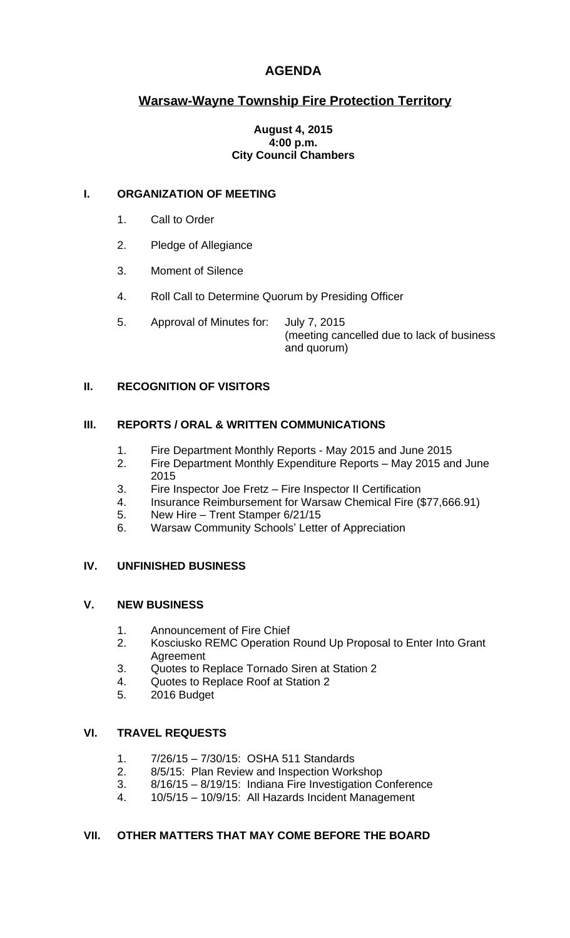# **AGENDA**

# **Warsaw-Wayne Township Fire Protection Territory**

#### **August 4, 2015 4:00 p.m. City Council Chambers**

### **I. ORGANIZATION OF MEETING**

- 1. Call to Order
- 2. Pledge of Allegiance
- 3. Moment of Silence
- 4. Roll Call to Determine Quorum by Presiding Officer
- 5. Approval of Minutes for: July 7, 2015 (meeting cancelled due to lack of business and quorum)

## **II. RECOGNITION OF VISITORS**

### **III. REPORTS / ORAL & WRITTEN COMMUNICATIONS**

- 1. Fire Department Monthly Reports May 2015 and June 2015
- 2. Fire Department Monthly Expenditure Reports May 2015 and June 2015
- 3. Fire Inspector Joe Fretz Fire Inspector II Certification
- 4. Insurance Reimbursement for Warsaw Chemical Fire (\$77,666.91)
- 5. New Hire Trent Stamper 6/21/15
- 6. Warsaw Community Schools' Letter of Appreciation

#### **IV. UNFINISHED BUSINESS**

#### **V. NEW BUSINESS**

- 1. Announcement of Fire Chief<br>2. Kosciusko REMC Operation
- 2. Kosciusko REMC Operation Round Up Proposal to Enter Into Grant Agreement
- 3. Quotes to Replace Tornado Siren at Station 2
- 4. Quotes to Replace Roof at Station 2
- 5. 2016 Budget

## **VI. TRAVEL REQUESTS**

- 1. 7/26/15 7/30/15: OSHA 511 Standards
- 2. 8/5/15: Plan Review and Inspection Workshop
- 3. 8/16/15 8/19/15: Indiana Fire Investigation Conference
- 4. 10/5/15 10/9/15: All Hazards Incident Management

#### **VII. OTHER MATTERS THAT MAY COME BEFORE THE BOARD**